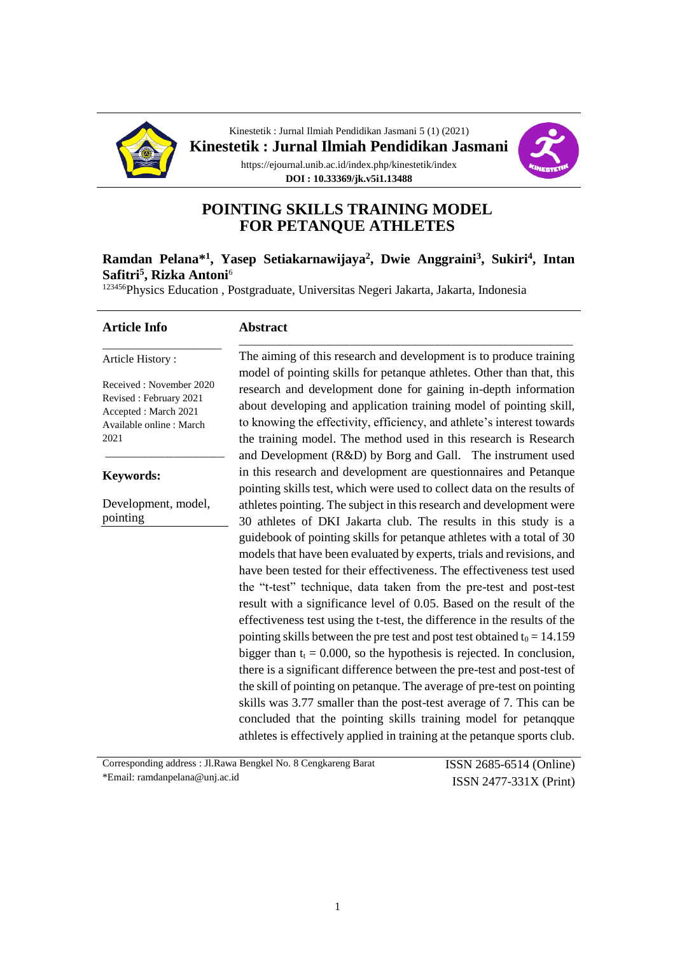

Kinestetik : Jurnal Ilmiah Pendidikan Jasmani 5 (1) (2021) **Kinestetik : Jurnal Ilmiah Pendidikan Jasmani** https://ejournal.unib.ac.id/index.php/kinestetik/index **DOI : 10.33369/jk.v5i1.13488**



# **POINTING SKILLS TRAINING MODEL FOR PETANQUE ATHLETES**

#### **Ramdan Pelana\*<sup>1</sup> , Yasep Setiakarnawijaya<sup>2</sup> , Dwie Anggraini<sup>3</sup> , Sukiri<sup>4</sup> , Intan Safitri<sup>5</sup> , Rizka Antoni**<sup>6</sup>

<sup>123456</sup>Physics Education, Postgraduate, Universitas Negeri Jakarta, Jakarta, Indonesia

#### **Article Info**

#### **Abstract**

Article History :

Received : November 2020 Revised : February 2021 Accepted : March 2021 Available online : March 2021

\_\_\_\_\_\_\_\_\_\_\_\_\_\_\_\_\_\_\_\_\_

\_\_\_\_\_\_\_\_\_\_\_\_\_\_\_\_\_\_\_\_\_

#### **Keywords:**

Development, model, pointing

The aiming of this research and development is to produce training model of pointing skills for petanque athletes. Other than that, this research and development done for gaining in-depth information about developing and application training model of pointing skill, to knowing the effectivity, efficiency, and athlete's interest towards the training model. The method used in this research is Research and Development (R&D) by Borg and Gall. The instrument used in this research and development are questionnaires and Petanque pointing skills test, which were used to collect data on the results of athletes pointing. The subject in this research and development were 30 athletes of DKI Jakarta club. The results in this study is a guidebook of pointing skills for petanque athletes with a total of 30 models that have been evaluated by experts, trials and revisions, and have been tested for their effectiveness. The effectiveness test used the "t-test" technique, data taken from the pre-test and post-test result with a significance level of 0.05. Based on the result of the effectiveness test using the t-test, the difference in the results of the pointing skills between the pre test and post test obtained  $t_0 = 14.159$ bigger than  $t_t = 0.000$ , so the hypothesis is rejected. In conclusion, there is a significant difference between the pre-test and post-test of the skill of pointing on petanque. The average of pre-test on pointing skills was 3.77 smaller than the post-test average of 7. This can be concluded that the pointing skills training model for petanqque athletes is effectively applied in training at the petanque sports club.

\_\_\_\_\_\_\_\_\_\_\_\_\_\_\_\_\_\_\_\_\_\_\_\_\_\_\_\_\_\_\_\_\_\_\_\_\_\_\_\_\_\_\_\_\_\_\_\_\_\_\_\_\_\_\_\_\_\_\_

Corresponding address : Jl.Rawa Bengkel No. 8 Cengkareng Barat \*Email: ramdanpelana@unj.ac.id

ISSN 2685-6514 (Online) ISSN 2477-331X (Print)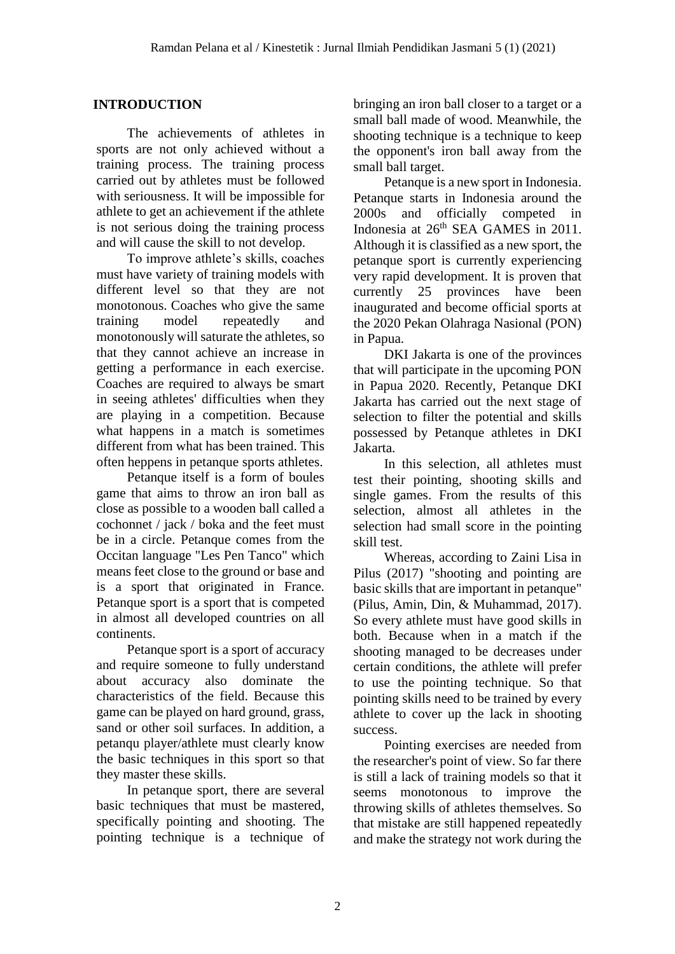### **INTRODUCTION**

The achievements of athletes in sports are not only achieved without a training process. The training process carried out by athletes must be followed with seriousness. It will be impossible for athlete to get an achievement if the athlete is not serious doing the training process and will cause the skill to not develop.

To improve athlete's skills, coaches must have variety of training models with different level so that they are not monotonous. Coaches who give the same training model repeatedly and monotonously will saturate the athletes, so that they cannot achieve an increase in getting a performance in each exercise. Coaches are required to always be smart in seeing athletes' difficulties when they are playing in a competition. Because what happens in a match is sometimes different from what has been trained. This often heppens in petanque sports athletes.

Petanque itself is a form of boules game that aims to throw an iron ball as close as possible to a wooden ball called a cochonnet / jack / boka and the feet must be in a circle. Petanque comes from the Occitan language "Les Pen Tanco" which means feet close to the ground or base and is a sport that originated in France. Petanque sport is a sport that is competed in almost all developed countries on all continents.

Petanque sport is a sport of accuracy and require someone to fully understand about accuracy also dominate the characteristics of the field. Because this game can be played on hard ground, grass, sand or other soil surfaces. In addition, a petanqu player/athlete must clearly know the basic techniques in this sport so that they master these skills.

In petanque sport, there are several basic techniques that must be mastered, specifically pointing and shooting. The pointing technique is a technique of bringing an iron ball closer to a target or a small ball made of wood. Meanwhile, the shooting technique is a technique to keep the opponent's iron ball away from the small ball target.

Petanque is a new sport in Indonesia. Petanque starts in Indonesia around the 2000s and officially competed in Indonesia at 26<sup>th</sup> SEA GAMES in 2011. Although it is classified as a new sport, the petanque sport is currently experiencing very rapid development. It is proven that currently 25 provinces have been inaugurated and become official sports at the 2020 Pekan Olahraga Nasional (PON) in Papua.

DKI Jakarta is one of the provinces that will participate in the upcoming PON in Papua 2020. Recently, Petanque DKI Jakarta has carried out the next stage of selection to filter the potential and skills possessed by Petanque athletes in DKI Jakarta.

In this selection, all athletes must test their pointing, shooting skills and single games. From the results of this selection, almost all athletes in the selection had small score in the pointing skill test.

Whereas, according to Zaini Lisa in Pilus (2017) "shooting and pointing are basic skills that are important in petanque" (Pilus, Amin, Din, & Muhammad, 2017). So every athlete must have good skills in both. Because when in a match if the shooting managed to be decreases under certain conditions, the athlete will prefer to use the pointing technique. So that pointing skills need to be trained by every athlete to cover up the lack in shooting success.

Pointing exercises are needed from the researcher's point of view. So far there is still a lack of training models so that it seems monotonous to improve the throwing skills of athletes themselves. So that mistake are still happened repeatedly and make the strategy not work during the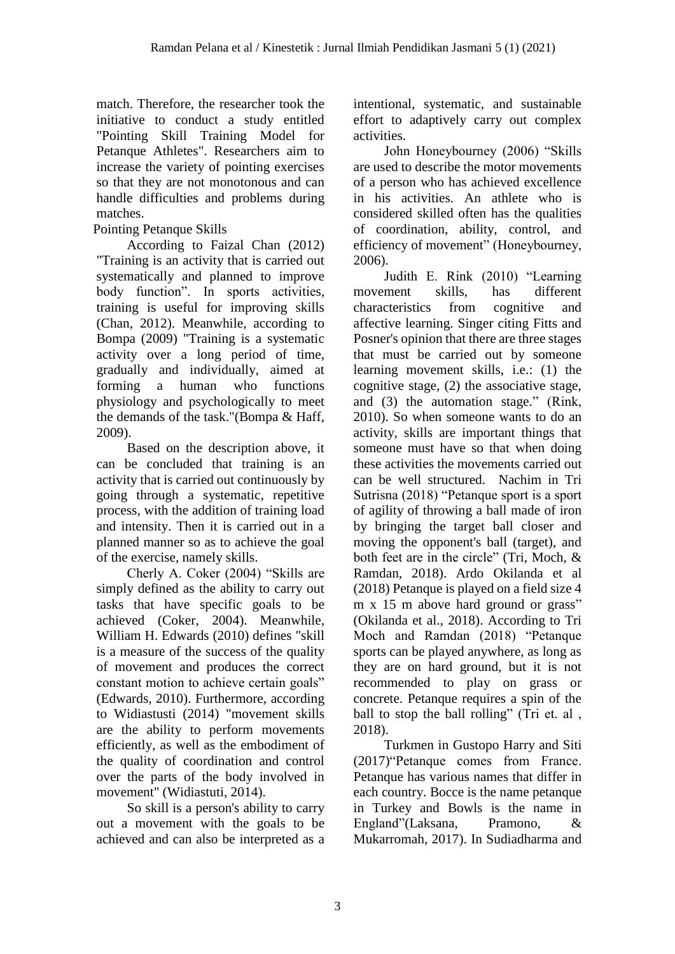match. Therefore, the researcher took the initiative to conduct a study entitled "Pointing Skill Training Model for Petanque Athletes". Researchers aim to increase the variety of pointing exercises so that they are not monotonous and can handle difficulties and problems during matches.

## Pointing Petanque Skills

According to Faizal Chan (2012) "Training is an activity that is carried out systematically and planned to improve body function". In sports activities, training is useful for improving skills (Chan, 2012). Meanwhile, according to Bompa (2009) "Training is a systematic activity over a long period of time, gradually and individually, aimed at forming a human who functions physiology and psychologically to meet the demands of the task."(Bompa & Haff, 2009).

Based on the description above, it can be concluded that training is an activity that is carried out continuously by going through a systematic, repetitive process, with the addition of training load and intensity. Then it is carried out in a planned manner so as to achieve the goal of the exercise, namely skills.

Cherly A. Coker (2004) "Skills are simply defined as the ability to carry out tasks that have specific goals to be achieved (Coker, 2004). Meanwhile, William H. Edwards (2010) defines "skill is a measure of the success of the quality of movement and produces the correct constant motion to achieve certain goals" (Edwards, 2010). Furthermore, according to Widiastusti (2014) "movement skills are the ability to perform movements efficiently, as well as the embodiment of the quality of coordination and control over the parts of the body involved in movement" (Widiastuti, 2014).

So skill is a person's ability to carry out a movement with the goals to be achieved and can also be interpreted as a intentional, systematic, and sustainable effort to adaptively carry out complex activities.

John Honeybourney (2006) "Skills are used to describe the motor movements of a person who has achieved excellence in his activities. An athlete who is considered skilled often has the qualities of coordination, ability, control, and efficiency of movement" (Honeybourney, 2006).

Judith E. Rink (2010) "Learning movement skills, has different characteristics from cognitive and affective learning. Singer citing Fitts and Posner's opinion that there are three stages that must be carried out by someone learning movement skills, i.e.: (1) the cognitive stage, (2) the associative stage, and (3) the automation stage." (Rink, 2010). So when someone wants to do an activity, skills are important things that someone must have so that when doing these activities the movements carried out can be well structured. Nachim in Tri Sutrisna (2018) "Petanque sport is a sport of agility of throwing a ball made of iron by bringing the target ball closer and moving the opponent's ball (target), and both feet are in the circle" (Tri, Moch, & Ramdan, 2018). Ardo Okilanda et al (2018) Petanque is played on a field size 4 m x 15 m above hard ground or grass" (Okilanda et al., 2018). According to Tri Moch and Ramdan (2018) "Petanque sports can be played anywhere, as long as they are on hard ground, but it is not recommended to play on grass or concrete. Petanque requires a spin of the ball to stop the ball rolling" (Tri et. al, 2018).

Turkmen in Gustopo Harry and Siti (2017)"Petanque comes from France. Petanque has various names that differ in each country. Bocce is the name petanque in Turkey and Bowls is the name in England"(Laksana, Pramono, & Mukarromah, 2017). In Sudiadharma and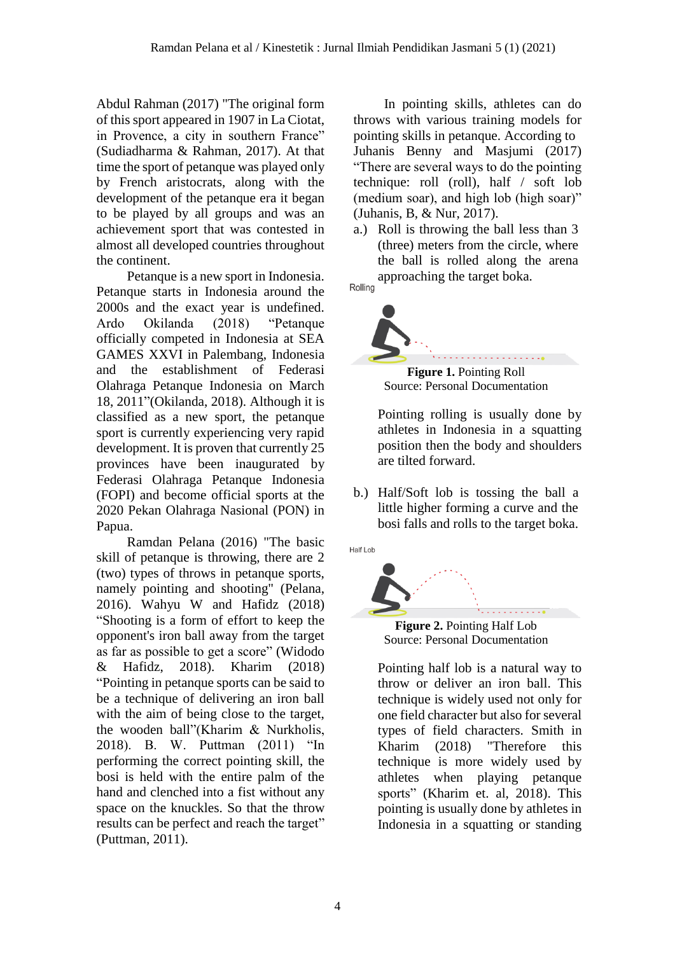Abdul Rahman (2017) "The original form of this sport appeared in 1907 in La Ciotat, in Provence, a city in southern France" (Sudiadharma & Rahman, 2017). At that time the sport of petanque was played only by French aristocrats, along with the development of the petanque era it began to be played by all groups and was an achievement sport that was contested in almost all developed countries throughout the continent.

Petanque is a new sport in Indonesia. Petanque starts in Indonesia around the 2000s and the exact year is undefined. Ardo Okilanda (2018) "Petanque officially competed in Indonesia at SEA GAMES XXVI in Palembang, Indonesia and the establishment of Federasi Olahraga Petanque Indonesia on March 18, 2011"(Okilanda, 2018). Although it is classified as a new sport, the petanque sport is currently experiencing very rapid development. It is proven that currently 25 provinces have been inaugurated by Federasi Olahraga Petanque Indonesia (FOPI) and become official sports at the 2020 Pekan Olahraga Nasional (PON) in Papua.

Ramdan Pelana (2016) "The basic skill of petanque is throwing, there are 2 (two) types of throws in petanque sports, namely pointing and shooting" (Pelana, 2016). Wahyu W and Hafidz (2018) "Shooting is a form of effort to keep the opponent's iron ball away from the target as far as possible to get a score" (Widodo & Hafidz, 2018). Kharim (2018) "Pointing in petanque sports can be said to be a technique of delivering an iron ball with the aim of being close to the target, the wooden ball"(Kharim & Nurkholis, 2018). B. W. Puttman (2011) "In performing the correct pointing skill, the bosi is held with the entire palm of the hand and clenched into a fist without any space on the knuckles. So that the throw results can be perfect and reach the target" (Puttman, 2011).

In pointing skills, athletes can do throws with various training models for pointing skills in petanque. According to Juhanis Benny and Masjumi (2017) "There are several ways to do the pointing technique: roll (roll), half / soft lob (medium soar), and high lob (high soar)" (Juhanis, B, & Nur, 2017).

a.) Roll is throwing the ball less than 3 (three) meters from the circle, where the ball is rolled along the arena approaching the target boka. Rolling

**Figure 1.** Pointing Roll Source: Personal Documentation

Pointing rolling is usually done by athletes in Indonesia in a squatting position then the body and shoulders are tilted forward.

b.) Half/Soft lob is tossing the ball a little higher forming a curve and the bosi falls and rolls to the target boka.







Pointing half lob is a natural way to throw or deliver an iron ball. This technique is widely used not only for one field character but also for several types of field characters. Smith in Kharim (2018) "Therefore this technique is more widely used by athletes when playing petanque sports" (Kharim et. al, 2018). This pointing is usually done by athletes in Indonesia in a squatting or standing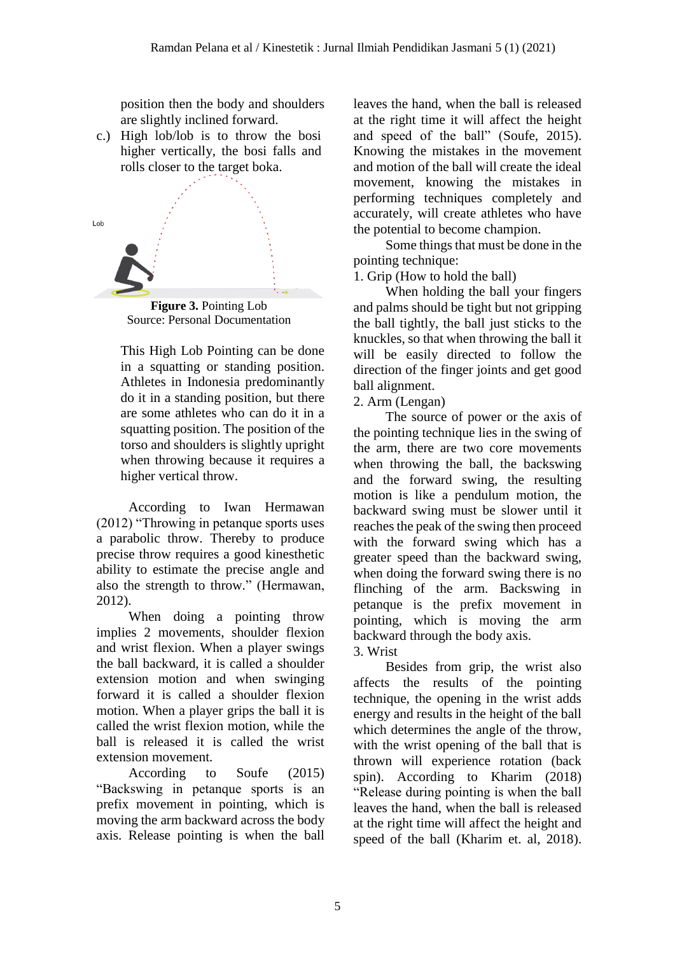position then the body and shoulders are slightly inclined forward.

c.) High lob/lob is to throw the bosi higher vertically, the bosi falls and rolls closer to the target boka.



Source: Personal Documentation

This High Lob Pointing can be done in a squatting or standing position. Athletes in Indonesia predominantly do it in a standing position, but there are some athletes who can do it in a squatting position. The position of the torso and shoulders is slightly upright when throwing because it requires a higher vertical throw.

According to Iwan Hermawan (2012) "Throwing in petanque sports uses a parabolic throw. Thereby to produce precise throw requires a good kinesthetic ability to estimate the precise angle and also the strength to throw." (Hermawan, 2012).

When doing a pointing throw implies 2 movements, shoulder flexion and wrist flexion. When a player swings the ball backward, it is called a shoulder extension motion and when swinging forward it is called a shoulder flexion motion. When a player grips the ball it is called the wrist flexion motion, while the ball is released it is called the wrist extension movement.

According to Soufe (2015) "Backswing in petanque sports is an prefix movement in pointing, which is moving the arm backward across the body axis. Release pointing is when the ball leaves the hand, when the ball is released at the right time it will affect the height and speed of the ball" (Soufe, 2015). Knowing the mistakes in the movement and motion of the ball will create the ideal movement, knowing the mistakes in performing techniques completely and accurately, will create athletes who have the potential to become champion.

Some things that must be done in the pointing technique:

1. Grip (How to hold the ball)

When holding the ball your fingers and palms should be tight but not gripping the ball tightly, the ball just sticks to the knuckles, so that when throwing the ball it will be easily directed to follow the direction of the finger joints and get good ball alignment.

#### 2. Arm (Lengan)

The source of power or the axis of the pointing technique lies in the swing of the arm, there are two core movements when throwing the ball, the backswing and the forward swing, the resulting motion is like a pendulum motion, the backward swing must be slower until it reaches the peak of the swing then proceed with the forward swing which has a greater speed than the backward swing, when doing the forward swing there is no flinching of the arm. Backswing in petanque is the prefix movement in pointing, which is moving the arm backward through the body axis. 3. Wrist

Besides from grip, the wrist also affects the results of the pointing technique, the opening in the wrist adds energy and results in the height of the ball which determines the angle of the throw, with the wrist opening of the ball that is thrown will experience rotation (back spin). According to Kharim (2018) "Release during pointing is when the ball leaves the hand, when the ball is released at the right time will affect the height and speed of the ball (Kharim et. al, 2018).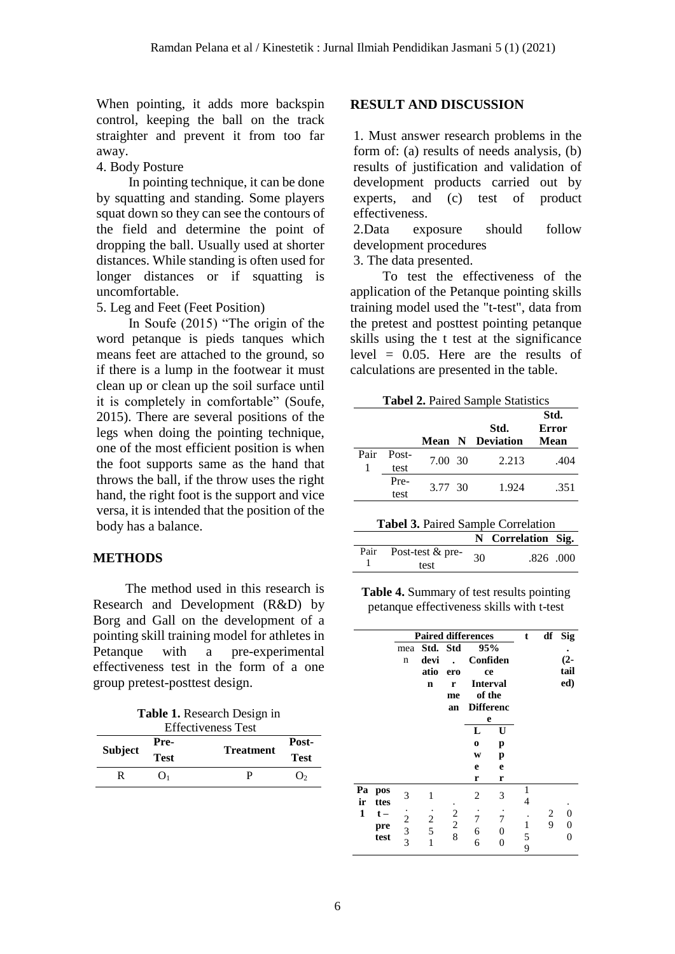When pointing, it adds more backspin control, keeping the ball on the track straighter and prevent it from too far away.

4. Body Posture

In pointing technique, it can be done by squatting and standing. Some players squat down so they can see the contours of the field and determine the point of dropping the ball. Usually used at shorter distances. While standing is often used for longer distances or if squatting is uncomfortable.

5. Leg and Feet (Feet Position)

In Soufe (2015) "The origin of the word petanque is pieds tanques which means feet are attached to the ground, so if there is a lump in the footwear it must clean up or clean up the soil surface until it is completely in comfortable" (Soufe, 2015). There are several positions of the legs when doing the pointing technique, one of the most efficient position is when the foot supports same as the hand that throws the ball, if the throw uses the right hand, the right foot is the support and vice versa, it is intended that the position of the body has a balance.

#### **METHODS**

The method used in this research is Research and Development (R&D) by Borg and Gall on the development of a pointing skill training model for athletes in Petanque with a pre-experimental effectiveness test in the form of a one group pretest-posttest design.

| <b>Table 1.</b> Research Design in |
|------------------------------------|
| <b>Effectiveness Test</b>          |

|                | Pre-        | ентеситенски тек | Post-       |  |
|----------------|-------------|------------------|-------------|--|
| <b>Subject</b> | <b>Test</b> | <b>Treatment</b> | <b>Test</b> |  |
| R              | $()_1$      |                  | $\Omega$    |  |

#### **RESULT AND DISCUSSION**

1. Must answer research problems in the form of: (a) results of needs analysis, (b) results of justification and validation of development products carried out by experts, and (c) test of product effectiveness.

2.Data exposure should follow development procedures

3. The data presented.

To test the effectiveness of the application of the Petanque pointing skills training model used the "t-test", data from the pretest and posttest pointing petanque skills using the t test at the significance level  $= 0.05$ . Here are the results of calculations are presented in the table.

|      |       |         | Std.<br><b>Mean N Deviation</b> | Std.<br>Error<br>Mean |  |
|------|-------|---------|---------------------------------|-----------------------|--|
| Pair | Post- | 7.00 30 | 2.213                           | .404                  |  |
|      | test  |         |                                 |                       |  |
|      | Pre-  | 3.77 30 | 1.924                           | .351                  |  |
|      | test  |         |                                 |                       |  |

| Tabel 3. Paired Sample Correlation |
|------------------------------------|
|------------------------------------|

| <b>rapel 3.</b> I alled Ballipic Correlation |                            |    |                    |           |  |  |  |
|----------------------------------------------|----------------------------|----|--------------------|-----------|--|--|--|
|                                              |                            |    | N Correlation Sig. |           |  |  |  |
| Pair                                         | Post-test $&$ pre-<br>test | 30 |                    | .826 .000 |  |  |  |

**Table 4.** Summary of test results pointing petanque effectiveness skills with t-test

|          |             | <b>Paired differences</b> |                         |                                            |                  |                | t      | df | <b>Sig</b> |
|----------|-------------|---------------------------|-------------------------|--------------------------------------------|------------------|----------------|--------|----|------------|
|          |             | mea                       | Std. Std                |                                            | 95%              |                |        |    |            |
|          |             | n                         | devi                    |                                            | Confiden         |                |        |    | $(2 -$     |
|          |             |                           | atio                    | ero                                        |                  | ce             |        |    | tail       |
|          |             |                           | n                       | r                                          | <b>Interval</b>  |                |        |    | ed)        |
|          |             |                           |                         | me                                         | of the           |                |        |    |            |
|          |             |                           |                         | an                                         | <b>Differenc</b> |                |        |    |            |
|          |             |                           |                         |                                            | e                |                |        |    |            |
|          |             |                           |                         |                                            | L                | U              |        |    |            |
|          |             |                           |                         |                                            | $\bf{o}$         | p              |        |    |            |
|          |             |                           |                         |                                            | W                | p              |        |    |            |
|          |             |                           |                         |                                            | e                | e              |        |    |            |
|          |             |                           |                         |                                            | r                | r              |        |    |            |
| Pa<br>ir | pos<br>ttes | 3                         | 1                       |                                            | 2                | 3              | 1<br>4 |    |            |
| 1        | $t -$       |                           |                         |                                            |                  |                |        | 2  | 0          |
|          | pre         |                           | $\overline{\mathbf{c}}$ | $\begin{array}{c} 2 \\ 2 \\ 8 \end{array}$ | 7                | 7              | 1      | 9  | 0          |
|          | test        | $\frac{2}{3}$             | 5                       |                                            | 6                | 0              | 5      |    |            |
|          |             |                           | 1                       |                                            | 6                | $\overline{0}$ | 9      |    |            |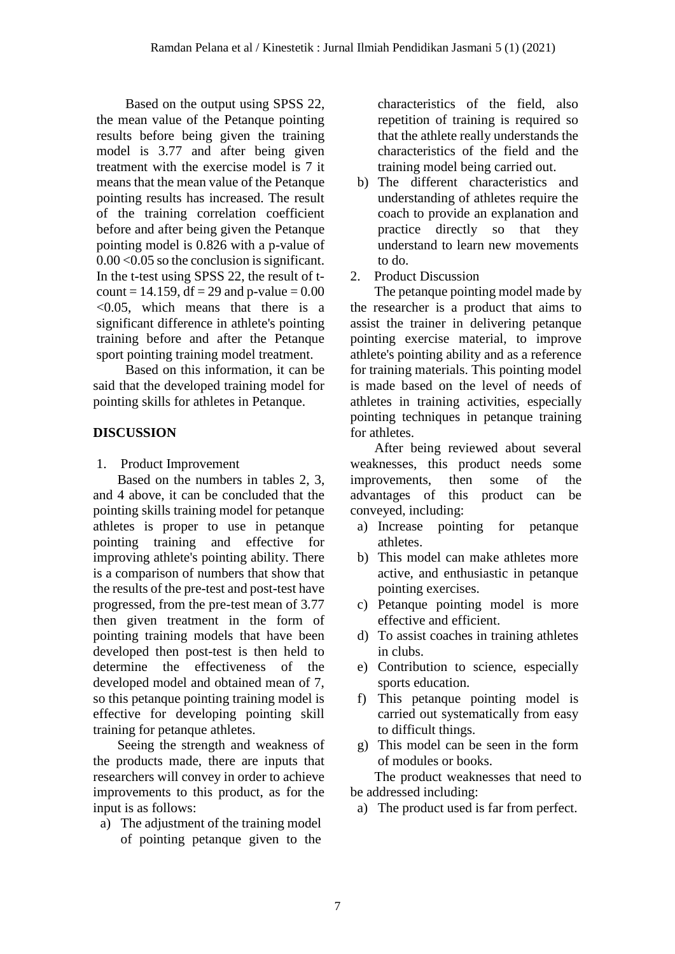Based on the output using SPSS 22, the mean value of the Petanque pointing results before being given the training model is 3.77 and after being given treatment with the exercise model is 7 it means that the mean value of the Petanque pointing results has increased. The result of the training correlation coefficient before and after being given the Petanque pointing model is 0.826 with a p-value of 0.00 <0.05 so the conclusion is significant. In the t-test using SPSS 22, the result of tcount = 14.159, df = 29 and p-value =  $0.00$ <0.05, which means that there is a significant difference in athlete's pointing training before and after the Petanque sport pointing training model treatment.

Based on this information, it can be said that the developed training model for pointing skills for athletes in Petanque.

## **DISCUSSION**

1. Product Improvement

Based on the numbers in tables 2, 3, and 4 above, it can be concluded that the pointing skills training model for petanque athletes is proper to use in petanque pointing training and effective for improving athlete's pointing ability. There is a comparison of numbers that show that the results of the pre-test and post-test have progressed, from the pre-test mean of 3.77 then given treatment in the form of pointing training models that have been developed then post-test is then held to determine the effectiveness of the developed model and obtained mean of 7, so this petanque pointing training model is effective for developing pointing skill training for petanque athletes.

Seeing the strength and weakness of the products made, there are inputs that researchers will convey in order to achieve improvements to this product, as for the input is as follows:

a) The adjustment of the training model of pointing petanque given to the

characteristics of the field, also repetition of training is required so that the athlete really understands the characteristics of the field and the training model being carried out.

- b) The different characteristics and understanding of athletes require the coach to provide an explanation and practice directly so that they understand to learn new movements to do.
- 2. Product Discussion

The petanque pointing model made by the researcher is a product that aims to assist the trainer in delivering petanque pointing exercise material, to improve athlete's pointing ability and as a reference for training materials. This pointing model is made based on the level of needs of athletes in training activities, especially pointing techniques in petanque training for athletes.

After being reviewed about several weaknesses, this product needs some improvements, then some of the advantages of this product can be conveyed, including:

- a) Increase pointing for petanque athletes.
- b) This model can make athletes more active, and enthusiastic in petanque pointing exercises.
- c) Petanque pointing model is more effective and efficient.
- d) To assist coaches in training athletes in clubs.
- e) Contribution to science, especially sports education.
- f) This petanque pointing model is carried out systematically from easy to difficult things.
- g) This model can be seen in the form of modules or books.

The product weaknesses that need to be addressed including:

a) The product used is far from perfect.